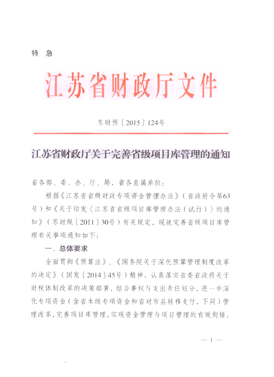### 特 急

# 江苏省财政厅文件

**苏财预〔2015〕124号** 

## 江苏省财政厅关于完善省级项目库管理的通知

省各部、委、办、厅、局,省各直属单位:

根据《江苏省省级财政专项资金管理办法》(省政府今第63 号)和《关于印发〈江苏省省级项目库管理办法(试行)〉的通 知》 (苏财规 [ 2011 ] 30号) 有关规定, 现就完善省级项目库管 理有关事项通知如下.

### 一、总体要求

全面贯彻《预算法》、《国务院关于深化预算管理制度改革 的决定》 (国发「2014] 45号)精神, 认真落实省委省政府关于 财税体制改革的决策部署。结合事权与支出责任划分。进一步深 化专项资金(含省本级专项资金和省对市县转移支付,下同)管 理改革,完善项目库管理,实现资金管理与项目管理的有效衔接,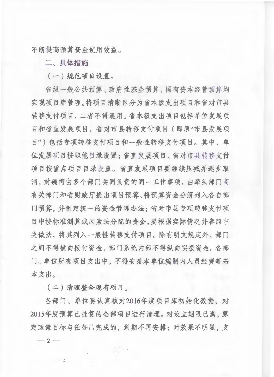不断提高预算资金使用效益。

二、具体措施

(一)规范项目设置。

省级一般公共预算、政府性基金预算、国有资本经营预算均 实现项目库管理。将项目清晰区分为省本级支出项目和省对市县 转移支付项目, 二者不得混用。省本级支出项目包括单位发展项 目和省直发展项目,省对市县转移支付项目(即原"市县发展项 目")包括专项转移支付项目和一般性转移支付项目。其中,单 位发展项目按职能目录设置:省直发展项目、省对市县转移支付 项目按重点项目目录设置。省直发展项目要继续压减并逐步取 消, 对确需由多个部门共同负责的同一工作事项, 由牵头部门商 有关部门和省财政厅提出项目预算、将预算资金分解列入各自部 门预算,并制定统一的资金管理办法;省对市县专项转移支付项 目中按标准测算或因素法分配的资金,要根据实际情况并参照中 央做法、将其列入一般性转移支付项目。除有明文规定外、部门 之间不得横向拨付资金, 部门系统内部不得纵向实拨资金。各部 门、单位所有项目支出中,不得安排本单位编制内人员经费等基 本支出。

(二)清理整合现有项目。

各部门、单位要认真核对2016年度项目库初始化数据, 对 2015年度预算已批复的全部项目进行清理。对设立期限已满,原 定政策目标与任务已完成的,到期不再安排:对效果不明显,支  $-2-$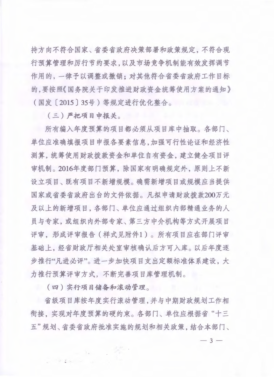持方向不符合国家、省委省政府决策部署和政策规定,不符合现 行预算管理和厉行节约要求。以及市场竞争机制能有效发挥调节 作用的, 一律予以调整或撤销; 对其他符合省委省政府工作目标 的,要按照《国务院关于印发推进财政资金统筹使用方案的通知》 (国发 [ 2015 ] 35号) 等规定进行优化整合。

 $( 1 )$  严把项目申报关。

所有编入年度预算的项目都必须从项目库中抽取。各部门、 单位应准确填报项目申报各要素信息,加强可行性论证和经济性 测算,统筹使用财政拨款资金和单位自有资金,建立健全项目评 审机制。2016年度部门预算, 除国家有明确规定外, 原则上不新 设立项目、既有项目不新增规模。确需新增项目或规模应当提供 国家或省委省政府出台的文件依据。凡拟申请财政拨款200万元 及以上的新增项目,各部门、单位应通过组织内部精通业务的人 员与专家, 或组织内外部专家、第三方中介机构等方式开展项目 评审, 形成评审报告 (样式见附件1)。所有项目应在部门评审 基础上, 经省财政厅相关处室审核确认后方可入库。以后年度逐 步推行"凡进必评"。进一步加快项目支出定额标准体系建设。大 力推行预算评审方式。不断完善项目库管理机制。

(四) 实行项目储备和滚动管理。

 $^\circ$ 

省级项目库按年度实行滚动管理,并与中期财政规划工作相 衔接, 实现对年度预算的硬约束。各部门、单位应根据省"十三 五"规划、省委省政府批准实施的规划和相关政策, 结合本部门、

 $-3-$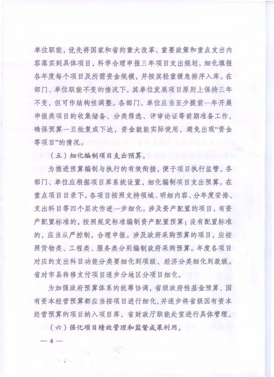单位职能,优先将国家和省的重大改革、重要政策和重点支出内 容落实到具体项目, 科学合理申报三年项目支出规划, 细化填报 各年度每个项目及所需资金规模。并按其轻重缓急排序入库。在 部门、单位职能不变的情况下,其单位发展项目原则上保持三年 不变。但可作结构性调整。各部门、单位应当至少提前一年开展 申报类项目的收集储备、分类筛选、评审论证等前期准备工作。 确保预算一旦批复或下达, 资金就能实际使用, 避免出现"资金 等项目"的情况。

**L (五) 细化编制项目支出预算。** 

为推进预算编制与执行的有效衔接, 便于项目执行监管, 各 部门、单位应根据项目库系统设置。细化编制项目支出预算。在 重点项目目录下,各项目按照支持领域、明细内容、分年度安排、 支出科目等四个层次作进一步细化。涉及资产配置的项目,有资 产配置标准的,按照规定标准编制资产配置预算:没有配置标准 的。应当从严控制。合理申报。涉及政府采购预算的项目。应按 照货物类、工程类、服务类分别编制政府采购预算。年度各项目 对应的支出科目功能分类要细化到项级、经济分类细化到款级。 省对市县转移支付项目逐步分地区分项目细化。

为加强政府预算体系的统筹协调。省级政府性基金预算、国 有资本经营预算都应当按项目进行细化,并逐步将省级国有资本 经营预算的项目纳入项目库。省财政厅职能处室进行具体管理。

(六) 强化项目绩效管理和监督成果利用。

 $-4-$ 

 $.1.$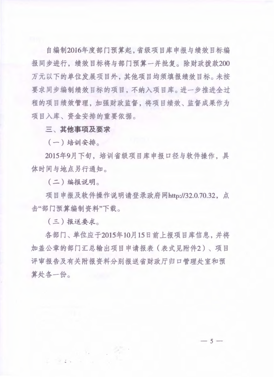自编制2016年度部门预算起,省级项目库申报与绩效目标编 报同步进行, 绩效目标将与部门预算一并批复。除财政拨款200 万元以下的单位发展项目外、其他项目均须填报绩效目标。未按 要求同步编制绩效目标的项目,不纳入项目库。进一步推进全过 程的项目绩效管理, 加强财政监督, 将项目绩效、监督成果作为 项目入库、资金安排的重要依据。

三、其他事项及要求

 $(-)$  培训安排。

2015年9月下旬, 培训省级项目库申报口径与软件操作, 具 体时间与地点另行通知。

(二) 编报说明。

项目申报及软件操作说明请登录政府网http://32.0.70.32, 点 击"部门预算编制资料"下载。

(三)报送要求。

 $\ddot{a}$  .

各部门、单位应于2015年10月15日前上报项目库信息, 并将 加盖公章的部门汇总输出项目申请报表 (表式见附件2)、项目 评审报告及有关附报资料分别报送省财政厅归口管理处室和预 算处各一份。

 $-5-$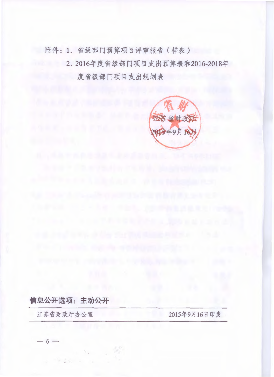附件: 1. 省级部门预算项目评审报告(样表)

2. 2016年度省级部门项目支出预算表和2016-2018年 度省级部门项目支出规划表



信息公开选项: 主动公开

江苏省财政厅办公室

2015年9月16日印发

 $-6-$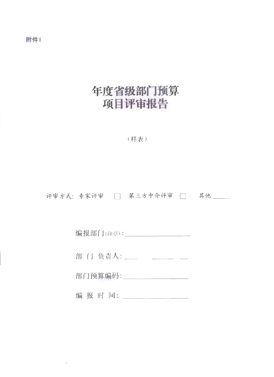附件1

# 年度省级部门预算 项目评审报告

(样表)

评审方式:专家评审 □ 第三方中介评审 □ 其他

编报部门(印章):\_\_\_\_\_\_\_\_\_\_\_\_\_\_\_\_\_\_\_\_\_\_

部门负责人:\_\_\_\_\_\_\_\_\_\_\_\_\_\_\_\_\_

部门预算编码: \_\_\_\_\_\_\_\_\_\_\_\_\_\_\_\_\_\_\_

编报时间: \_\_\_\_\_\_\_\_\_\_\_\_\_\_\_\_\_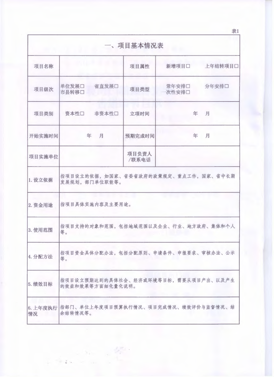|         |                                                          | 一、项目基本情况表      |                |         |
|---------|----------------------------------------------------------|----------------|----------------|---------|
| 项目名称    |                                                          | 项目属性           | 新增项目口          | 上年结转项目口 |
| 项目级次    | 单位发展口 省直发展口<br>市县转移口                                     | 项目类型           | 常年安排口<br>次性安排口 | 分年安排口   |
| 项目类别    | 资本性口<br>非资本性口                                            | 立项时间           | 年              | 月       |
| 开始实施时间  | 年<br>月                                                   | 预期完成时间         | 年              | 月       |
| 项目实施单位  |                                                          | 项目负责人<br>/联系电话 |                |         |
| 1. 设立依据 | 指项目设立的依据,如国家、省委省政府的政策规定、重点工作,国家、省中长期<br>发展规划,部门单位职能等。    |                |                |         |
| 2. 资金用途 | 指项目具体实施内容及主要用途。                                          |                |                |         |
| 3. 使用范围 | 指项目支持的对象和范围,包括地域范围以及企业、行业、地方政府、集体和个人<br>等。               |                |                |         |
| 4. 分配方法 | 指项目资金具体分配办法,包括分配原则、申请条件、申报要求、审核办法、公示<br>等。               |                |                |         |
| 5. 绩效目标 | 指项目设立预期达到的具体社会、经济或环境等目标,需要从项目产出、以及产生<br>的效益和效果等方面细化量化说明。 |                |                |         |
| 情况      | 6. 上年度执行 指部门、单位上年度项目预算执行情况、项目完成情况、绩效评价与监督情况、结<br>余结转情况等。 |                |                |         |

表1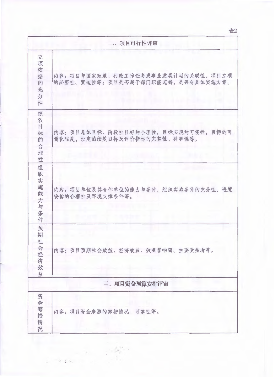表2

|                                           | 二、项目可行性评审                                                                |
|-------------------------------------------|--------------------------------------------------------------------------|
| 立<br>项<br>依<br>据<br>的<br>充<br>分<br>性      | 内容: 项目与国家政策、行政工作任务或事业发展计划的关联性, 项目立项<br>的必要性、紧迫性等;项目是否属于部门职能范畴,是否有具体实施方案。 |
| 绩<br>效<br>目<br>标<br>的<br>合<br>理<br>性      | 内容: 项目总体目标、阶段性目标的合理性, 目标实现的可能性, 目标的可<br>量化程度,设定的绩效目标及评价指标的完整性、科学性等。      |
| 组<br>织<br>实<br>施<br>能<br>力<br>与<br>条<br>件 | 内容: 项目单位及其合作单位的能力与条件, 组织实施条件的充分性, 进度<br>安排的合理性及环境支撑条件等。                  |
| 预<br>期<br>社<br>会经<br>济<br>效<br>益          | 内容: 项目预期社会效益、经济效益、效益影响面、主要受益者等。                                          |
|                                           | 三、项目资金预算安排评审                                                             |
| 资<br>金<br>筹<br>措<br>情<br>况                | 内容: 项目资金来源的筹措情况、可靠性等。                                                    |

 $\mathcal{L}_{\mathcal{A}}$ 

 $\tau_{\rm c} \approx 30$  $\begin{array}{ccccccccc} \mathcal{U} & \mathcal{L} & \mathcal{U}_\mathcal{K} & \cdots & \mathcal{U}_\mathcal{K} \end{array}$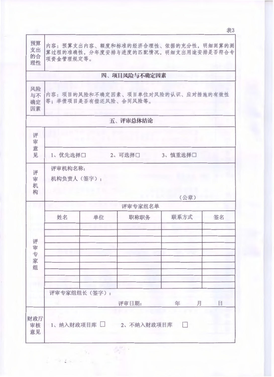| 预算<br>支出<br>的合<br>理性 | 项资金管理规定等。             |                      |                       | 内容:预算支出内容、额度和标准的经济合理性、依据的充分性,明细测算的测<br>算过程的准确性,分年度安排与进度的匹配情况,明细支出用途安排是否符合专 |    |
|----------------------|-----------------------|----------------------|-----------------------|----------------------------------------------------------------------------|----|
|                      |                       |                      | 四、项目风险与不确定因素          |                                                                            |    |
| 风险<br>与不<br>确定<br>因素 |                       | 等;举债项目是否有偿还风险、合同风险等。 |                       | 内容: 项目的风险和不确定因素、项目单位对风险的认识、应对措施的有效性                                        |    |
|                      |                       |                      | 五、评审总体结论              |                                                                            |    |
| 评<br>审<br>意<br>见     | 1、优先选择口               |                      | 2、可选择口                | 3、慎重选择口                                                                    |    |
| 评<br>审<br>机<br>构     | 评审机构名称:<br>机构负责人(签字): |                      |                       | (公章)                                                                       |    |
|                      |                       |                      | 评审专家组名单               |                                                                            |    |
| 评<br>审专家             | 姓名                    | 单位                   | 职称职务                  | 联系方式                                                                       | 签名 |
| 组                    | 评审专家组组长(签字):          |                      | 评审日期:                 | 月<br>年                                                                     | 日  |
| 财政厅<br>审核<br>意见      |                       |                      | 1、纳入财政项目库□ 2、不纳入财政项目库 |                                                                            |    |

 $\omega = 2\sqrt{2}$  .

ź. ÷. 表3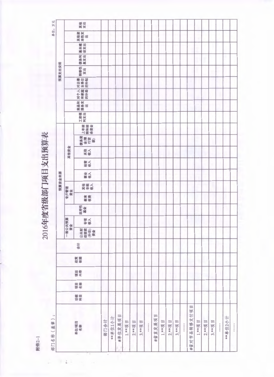附件2-1

÷

# 2016年度省级部门项目支出预算表

|                       |    |    |    |    |    |                       |    |           |      | 预算资金来源 |     |    |      |                     |                   |     |                 |           |          | 预算支出安排    |            |             |             |
|-----------------------|----|----|----|----|----|-----------------------|----|-----------|------|--------|-----|----|------|---------------------|-------------------|-----|-----------------|-----------|----------|-----------|------------|-------------|-------------|
|                       |    |    |    |    |    | 一般公共预算<br>资金          |    |           | 专户管理 |        |     |    | 其他资金 |                     |                   |     |                 |           |          |           |            |             |             |
| 单位项目<br>名称            | 动意 | 項答 | 原有 | 政策 | 合计 | 公政 半接触 山谷 全球機能 地名美国哈尔 | 专项 | 政府性<br>编纂 | 教育   | 其非校入   | 事実人 | 密言 | 其他   | 偏楽 全体(重要)<br>全体(重要) | 上年結<br>精和錯<br>余资金 | 工资福 | 高品格<br>服务支<br>出 | 对方表面的复数形式 | 文业单位 计数据 | 转移性<br>支出 | 债务利<br>息支出 | 基本職士<br>设支出 | 其他<br>其性性出生 |
| 部门合计                  |    |    |    |    |    |                       |    |           |      |        |     |    |      |                     |                   |     |                 |           |          |           |            |             |             |
| **单位1小计               |    |    |    |    |    |                       |    |           |      |        |     |    |      |                     |                   |     |                 |           |          |           |            |             |             |
| E<br>#单位发展项           |    |    |    |    |    |                       |    |           |      |        |     |    |      |                     |                   |     |                 |           |          |           |            |             |             |
| 1.**项目                |    |    |    |    |    |                       |    |           |      |        |     |    |      |                     |                   |     |                 |           |          |           |            |             |             |
| $\mathbb{H}$<br>2.**项 |    |    |    |    |    |                       |    |           |      |        |     |    |      |                     |                   |     |                 |           |          |           |            |             |             |
| Ħ<br>3.**项            |    |    |    |    |    |                       |    |           |      |        |     |    |      |                     |                   |     |                 |           |          |           |            |             |             |
|                       |    |    |    |    |    |                       |    |           |      |        |     |    |      |                     |                   |     |                 |           |          |           |            |             |             |
| 皿<br>#省直发展项           |    |    |    |    |    |                       |    |           |      |        |     |    |      |                     |                   |     |                 |           |          |           |            |             |             |
| Ē<br>1.**项            |    |    |    |    |    |                       |    |           |      |        |     |    |      |                     |                   |     |                 |           |          |           |            |             |             |
| E<br>2.**项            |    |    |    |    |    |                       |    |           |      |        |     |    |      |                     |                   |     |                 |           |          |           |            |             |             |
| E<br>3.**项            |    |    |    |    |    |                       |    |           |      |        |     |    |      |                     |                   |     |                 |           |          |           |            |             |             |
|                       |    |    |    |    |    |                       |    |           |      |        |     |    |      |                     |                   |     |                 |           |          |           |            |             |             |
| Ħ<br>#省对市县转移支付项       |    |    |    |    |    |                       |    |           |      |        |     |    |      |                     |                   |     |                 |           |          |           |            |             |             |
| 1.**项目                |    |    |    |    |    |                       |    |           |      |        |     |    |      |                     |                   |     |                 |           |          |           |            |             |             |
| 2.**项目                |    |    |    |    |    |                       |    |           |      |        |     |    |      |                     |                   |     |                 |           |          |           |            |             |             |
| 3.**项目                |    |    |    |    |    |                       |    |           |      |        |     |    |      |                     |                   |     |                 |           |          |           |            |             |             |
|                       |    |    |    |    |    |                       |    |           |      |        |     |    |      |                     |                   |     |                 |           |          |           |            |             |             |
| ##单位2小计               |    |    |    |    |    |                       |    |           |      |        |     |    |      |                     |                   |     |                 |           |          |           |            |             |             |
|                       |    |    |    |    |    |                       |    |           |      |        |     |    |      |                     |                   |     |                 |           |          |           |            |             |             |